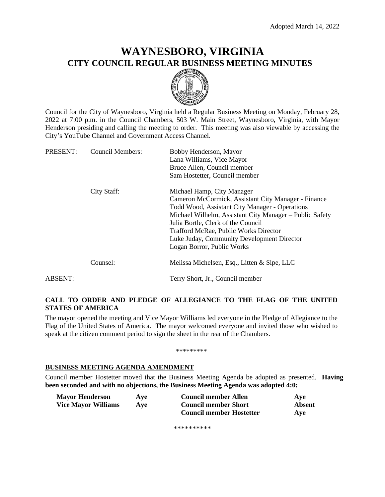# **WAYNESBORO, VIRGINIA CITY COUNCIL REGULAR BUSINESS MEETING MINUTES**



Council for the City of Waynesboro, Virginia held a Regular Business Meeting on Monday, February 28, 2022 at 7:00 p.m. in the Council Chambers, 503 W. Main Street, Waynesboro, Virginia, with Mayor Henderson presiding and calling the meeting to order. This meeting was also viewable by accessing the City's YouTube Channel and Government Access Channel.

| PRESENT: | <b>Council Members:</b> | Bobby Henderson, Mayor                                  |
|----------|-------------------------|---------------------------------------------------------|
|          |                         | Lana Williams, Vice Mayor                               |
|          |                         | Bruce Allen, Council member                             |
|          |                         | Sam Hostetter, Council member                           |
|          | City Staff:             | Michael Hamp, City Manager                              |
|          |                         | Cameron McCormick, Assistant City Manager - Finance     |
|          |                         | Todd Wood, Assistant City Manager - Operations          |
|          |                         | Michael Wilhelm, Assistant City Manager – Public Safety |
|          |                         | Julia Bortle, Clerk of the Council                      |
|          |                         | Trafford McRae, Public Works Director                   |
|          |                         | Luke Juday, Community Development Director              |
|          |                         | Logan Borror, Public Works                              |
|          | Counsel:                | Melissa Michelsen, Esq., Litten & Sipe, LLC             |
| ABSENT:  |                         | Terry Short, Jr., Council member                        |
|          |                         |                                                         |

## **CALL TO ORDER AND PLEDGE OF ALLEGIANCE TO THE FLAG OF THE UNITED STATES OF AMERICA**

The mayor opened the meeting and Vice Mayor Williams led everyone in the Pledge of Allegiance to the Flag of the United States of America. The mayor welcomed everyone and invited those who wished to speak at the citizen comment period to sign the sheet in the rear of the Chambers.

\*\*\*\*\*\*\*\*\*

### **BUSINESS MEETING AGENDA AMENDMENT**

Council member Hostetter moved that the Business Meeting Agenda be adopted as presented. **Having been seconded and with no objections, the Business Meeting Agenda was adopted 4:0:**

| <b>Mayor Henderson</b>     | Ave | <b>Council member Allen</b>     | Ave    |
|----------------------------|-----|---------------------------------|--------|
| <b>Vice Mayor Williams</b> | Ave | <b>Council member Short</b>     | Absent |
|                            |     | <b>Council member Hostetter</b> | Ave    |

\*\*\*\*\*\*\*\*\*\*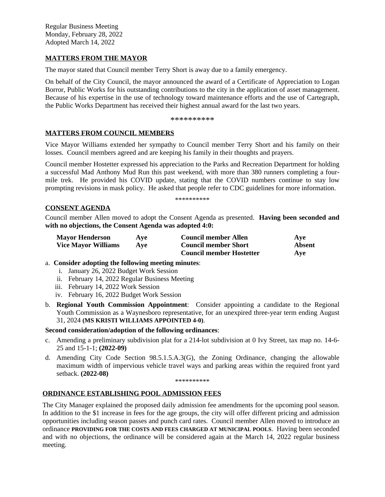## **MATTERS FROM THE MAYOR**

The mayor stated that Council member Terry Short is away due to a family emergency.

On behalf of the City Council, the mayor announced the award of a Certificate of Appreciation to Logan Borror, Public Works for his outstanding contributions to the city in the application of asset management. Because of his expertise in the use of technology toward maintenance efforts and the use of Cartegraph, the Public Works Department has received their highest annual award for the last two years.

\*\*\*\*\*\*\*\*\*\*

### **MATTERS FROM COUNCIL MEMBERS**

Vice Mayor Williams extended her sympathy to Council member Terry Short and his family on their losses. Council members agreed and are keeping his family in their thoughts and prayers.

Council member Hostetter expressed his appreciation to the Parks and Recreation Department for holding a successful Mad Anthony Mud Run this past weekend, with more than 380 runners completing a fourmile trek. He provided his COVID update, stating that the COVID numbers continue to stay low prompting revisions in mask policy. He asked that people refer to CDC guidelines for more information.

\*\*\*\*\*\*\*\*\*\*

#### **CONSENT AGENDA**

Council member Allen moved to adopt the Consent Agenda as presented. **Having been seconded and with no objections, the Consent Agenda was adopted 4:0:**

| <b>Mayor Henderson</b>     | Ave | <b>Council member Allen</b>     | Ave    |
|----------------------------|-----|---------------------------------|--------|
| <b>Vice Mayor Williams</b> | Ave | <b>Council member Short</b>     | Absent |
|                            |     | <b>Council member Hostetter</b> | Ave    |

## a. **Consider adopting the following meeting minutes**:

- i. January 26, 2022 Budget Work Session
- ii. February 14, 2022 Regular Business Meeting
- iii. February 14, 2022 Work Session
- iv. February 16, 2022 Budget Work Session
- b. **Regional Youth Commission Appointment**: Consider appointing a candidate to the Regional Youth Commission as a Waynesboro representative, for an unexpired three-year term ending August 31, 2024 **(MS KRISTI WILLIAMS APPOINTED 4-0)**.

#### **Second consideration/adoption of the following ordinances**:

- c. Amending a preliminary subdivision plat for a 214-lot subdivision at 0 Ivy Street, tax map no. 14-6- 25 and 15-1-1; **(2022-09)**
- d. Amending City Code Section 98.5.1.5.A.3(G), the Zoning Ordinance, changing the allowable maximum width of impervious vehicle travel ways and parking areas within the required front yard setback. **(2022-08)**

\*\*\*\*\*\*\*\*\*\*

### **ORDINANCE ESTABLISHING POOL ADMISSION FEES**

The City Manager explained the proposed daily admission fee amendments for the upcoming pool season. In addition to the \$1 increase in fees for the age groups, the city will offer different pricing and admission opportunities including season passes and punch card rates. Council member Allen moved to introduce an ordinance **PROVIDING FOR THE COSTS AND FEES CHARGED AT MUNICIPAL POOLS**. Having been seconded and with no objections, the ordinance will be considered again at the March 14, 2022 regular business meeting.